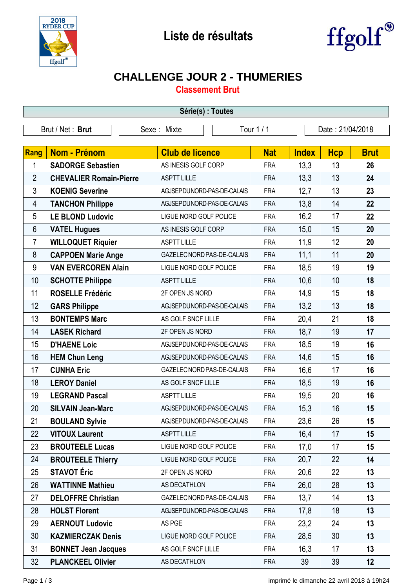



## **CHALLENGE JOUR 2 - THUMERIES**

**Classement Brut**

| Série(s) : Toutes |                                |                            |            |              |                  |             |  |
|-------------------|--------------------------------|----------------------------|------------|--------------|------------------|-------------|--|
| Brut / Net: Brut  |                                | Sexe: Mixte                | Tour 1 / 1 |              | Date: 21/04/2018 |             |  |
|                   |                                |                            |            |              |                  |             |  |
| Rang              | <b>Nom - Prénom</b>            | <b>Club de licence</b>     | <b>Nat</b> | <b>Index</b> | <b>Hcp</b>       | <b>Brut</b> |  |
| 1                 | <b>SADORGE Sebastien</b>       | AS INESIS GOLF CORP        | <b>FRA</b> | 13,3         | 13               | 26          |  |
| $\overline{2}$    | <b>CHEVALIER Romain-Pierre</b> | <b>ASPTT LILLE</b>         | <b>FRA</b> | 13,3         | 13               | 24          |  |
| $\mathfrak{Z}$    | <b>KOENIG Severine</b>         | AGJSEPDUNORD-PAS-DE-CALAIS | <b>FRA</b> | 12,7         | 13               | 23          |  |
| 4                 | <b>TANCHON Philippe</b>        | AGJSEPDUNORD-PAS-DE-CALAIS | <b>FRA</b> | 13,8         | 14               | 22          |  |
| 5                 | <b>LE BLOND Ludovic</b>        | LIGUE NORD GOLF POLICE     | <b>FRA</b> | 16,2         | 17               | 22          |  |
| 6                 | <b>VATEL Hugues</b>            | AS INESIS GOLF CORP        | <b>FRA</b> | 15,0         | 15               | 20          |  |
| 7                 | <b>WILLOQUET Riquier</b>       | <b>ASPTT LILLE</b>         | <b>FRA</b> | 11,9         | 12               | 20          |  |
| 8                 | <b>CAPPOEN Marie Ange</b>      | GAZELEC NORD PAS-DE-CALAIS | <b>FRA</b> | 11,1         | 11               | 20          |  |
| 9                 | <b>VAN EVERCOREN Alain</b>     | LIGUE NORD GOLF POLICE     | <b>FRA</b> | 18,5         | 19               | 19          |  |
| 10                | <b>SCHOTTE Philippe</b>        | <b>ASPTT LILLE</b>         | <b>FRA</b> | 10,6         | 10               | 18          |  |
| 11                | <b>ROSELLE Frédéric</b>        | 2F OPEN JS NORD            | <b>FRA</b> | 14,9         | 15               | 18          |  |
| 12                | <b>GARS Philippe</b>           | AGJSEPDUNORD-PAS-DE-CALAIS | <b>FRA</b> | 13,2         | 13               | 18          |  |
| 13                | <b>BONTEMPS Marc</b>           | AS GOLF SNCF LILLE         | <b>FRA</b> | 20,4         | 21               | 18          |  |
| 14                | <b>LASEK Richard</b>           | 2F OPEN JS NORD            | <b>FRA</b> | 18,7         | 19               | 17          |  |
| 15                | <b>D'HAENE Loic</b>            | AGJSEPDUNORD-PAS-DE-CALAIS | <b>FRA</b> | 18,5         | 19               | 16          |  |
| 16                | <b>HEM Chun Leng</b>           | AGJSEPDUNORD-PAS-DE-CALAIS | <b>FRA</b> | 14,6         | 15               | 16          |  |
| 17                | <b>CUNHA Eric</b>              | GAZELEC NORD PAS-DE-CALAIS | <b>FRA</b> | 16,6         | 17               | 16          |  |
| 18                | <b>LEROY Daniel</b>            | AS GOLF SNCF LILLE         | <b>FRA</b> | 18,5         | 19               | 16          |  |
| 19                | <b>LEGRAND Pascal</b>          | <b>ASPTT LILLE</b>         | <b>FRA</b> | 19,5         | 20               | 16          |  |
| 20                | <b>SILVAIN Jean-Marc</b>       | AGJSEPDUNORD-PAS-DE-CALAIS | <b>FRA</b> | 15,3         | 16               | 15          |  |
| 21                | <b>BOULAND Sylvie</b>          | AGJSEPDUNORD-PAS-DE-CALAIS | <b>FRA</b> | 23,6         | 26               | 15          |  |
| 22                | <b>VITOUX Laurent</b>          | <b>ASPTT LILLE</b>         | <b>FRA</b> | 16,4         | 17               | 15          |  |
| 23                | <b>BROUTEELE Lucas</b>         | LIGUE NORD GOLF POLICE     | <b>FRA</b> | 17,0         | 17               | 15          |  |
| 24                | <b>BROUTEELE Thierry</b>       | LIGUE NORD GOLF POLICE     | <b>FRA</b> | 20,7         | 22               | 14          |  |
| 25                | <b>STAVOT</b> Éric             | 2F OPEN JS NORD            | <b>FRA</b> | 20,6         | 22               | 13          |  |
| 26                | <b>WATTINNE Mathieu</b>        | AS DECATHLON               | <b>FRA</b> | 26,0         | 28               | 13          |  |
| 27                | <b>DELOFFRE Christian</b>      | GAZELEC NORD PAS-DE-CALAIS | <b>FRA</b> | 13,7         | 14               | 13          |  |
| 28                | <b>HOLST Florent</b>           | AGJSEPDUNORD-PAS-DE-CALAIS | <b>FRA</b> | 17,8         | 18               | 13          |  |
| 29                | <b>AERNOUT Ludovic</b>         | AS PGE                     | <b>FRA</b> | 23,2         | 24               | 13          |  |
| 30                | <b>KAZMIERCZAK Denis</b>       | LIGUE NORD GOLF POLICE     | <b>FRA</b> | 28,5         | 30               | 13          |  |
| 31                | <b>BONNET Jean Jacques</b>     | AS GOLF SNCF LILLE         | <b>FRA</b> | 16,3         | 17               | 13          |  |
| 32                | <b>PLANCKEEL Olivier</b>       | AS DECATHLON               | <b>FRA</b> | 39           | 39               | 12          |  |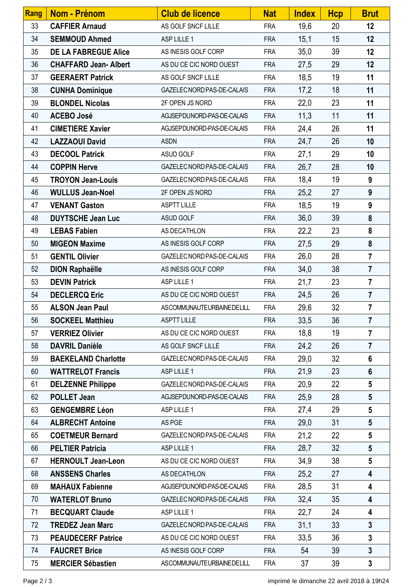| <b>Rang</b> | <b>Nom - Prénom</b>         | <b>Club de licence</b>     | <b>Nat</b> | <b>Index</b> | <b>Hcp</b> | <b>Brut</b>             |
|-------------|-----------------------------|----------------------------|------------|--------------|------------|-------------------------|
| 33          | <b>CAFFIER Arnaud</b>       | AS GOLF SNCF LILLE         | <b>FRA</b> | 19,6         | 20         | 12                      |
| 34          | <b>SEMMOUD Ahmed</b>        | ASP LILLE 1                | <b>FRA</b> | 15,1         | 15         | 12                      |
| 35          | <b>DE LA FABREGUE Alice</b> | AS INESIS GOLF CORP        | <b>FRA</b> | 35,0         | 39         | 12                      |
| 36          | <b>CHAFFARD Jean-Albert</b> | AS DU CE CIC NORD OUEST    | <b>FRA</b> | 27,5         | 29         | 12                      |
| 37          | <b>GEERAERT Patrick</b>     | AS GOLF SNCF LILLE         | <b>FRA</b> | 18,5         | 19         | 11                      |
| 38          | <b>CUNHA Dominique</b>      | GAZELEC NORD PAS-DE-CALAIS | <b>FRA</b> | 17,2         | 18         | 11                      |
| 39          | <b>BLONDEL Nicolas</b>      | 2F OPEN JS NORD            | <b>FRA</b> | 22,0         | 23         | 11                      |
| 40          | <b>ACEBO José</b>           | AGJSEPDUNORD-PAS-DE-CALAIS | <b>FRA</b> | 11,3         | 11         | 11                      |
| 41          | <b>CIMETIERE Xavier</b>     | AGJSEPDUNORD-PAS-DE-CALAIS | <b>FRA</b> | 24,4         | 26         | 11                      |
| 42          | <b>LAZZAOUI David</b>       | <b>ASDN</b>                | <b>FRA</b> | 24,7         | 26         | 10                      |
| 43          | <b>DECOOL Patrick</b>       | ASUD GOLF                  | <b>FRA</b> | 27,1         | 29         | 10                      |
| 44          | <b>COPPIN Herve</b>         | GAZELEC NORD PAS-DE-CALAIS | <b>FRA</b> | 26,7         | 28         | 10                      |
| 45          | <b>TROYON Jean-Louis</b>    | GAZELEC NORD PAS-DE-CALAIS | <b>FRA</b> | 18,4         | 19         | 9                       |
| 46          | <b>WULLUS Jean-Noel</b>     | 2F OPEN JS NORD            | <b>FRA</b> | 25,2         | 27         | 9                       |
| 47          | <b>VENANT Gaston</b>        | <b>ASPTT LILLE</b>         | <b>FRA</b> | 18,5         | 19         | 9                       |
| 48          | <b>DUYTSCHE Jean Luc</b>    | ASUD GOLF                  | <b>FRA</b> | 36,0         | 39         | 8                       |
| 49          | <b>LEBAS Fabien</b>         | AS DECATHLON               | <b>FRA</b> | 22,2         | 23         | 8                       |
| 50          | <b>MIGEON Maxime</b>        | AS INESIS GOLF CORP        | <b>FRA</b> | 27,5         | 29         | 8                       |
| 51          | <b>GENTIL Olivier</b>       | GAZELEC NORD PAS-DE-CALAIS | <b>FRA</b> | 26,0         | 28         | $\overline{7}$          |
| 52          | <b>DION Raphaëlle</b>       | AS INESIS GOLF CORP        | <b>FRA</b> | 34,0         | 38         | $\overline{7}$          |
| 53          | <b>DEVIN Patrick</b>        | ASP LILLE 1                | <b>FRA</b> | 21,7         | 23         | $\overline{7}$          |
| 54          | <b>DECLERCQ Eric</b>        | AS DU CE CIC NORD OUEST    | <b>FRA</b> | 24,5         | 26         | $\overline{7}$          |
| 55          | <b>ALSON Jean Paul</b>      | ASCOMMUNAUTEURBAINEDELILL  | <b>FRA</b> | 29,6         | 32         | $\overline{7}$          |
| 56          | <b>SOCKEEL Matthieu</b>     | ASPTT LILLE                | <b>FRA</b> | 33,5         | 36         | 7                       |
| 57          | <b>VERRIEZ Olivier</b>      | AS DU CE CIC NORD OUEST    | <b>FRA</b> | 18,8         | 19         | $\overline{7}$          |
| 58          | <b>DAVRIL Danièle</b>       | AS GOLF SNCF LILLE         | <b>FRA</b> | 24,2         | 26         | $\overline{7}$          |
| 59          | <b>BAEKELAND Charlotte</b>  | GAZELEC NORD PAS-DE-CALAIS | <b>FRA</b> | 29,0         | 32         | $6\phantom{1}$          |
| 60          | <b>WATTRELOT Francis</b>    | ASP LILLE 1                | <b>FRA</b> | 21,9         | 23         | $6\phantom{1}$          |
| 61          | <b>DELZENNE Philippe</b>    | GAZELEC NORD PAS-DE-CALAIS | <b>FRA</b> | 20,9         | 22         | 5                       |
| 62          | <b>POLLET Jean</b>          | AGJSEPDUNORD-PAS-DE-CALAIS | <b>FRA</b> | 25,9         | 28         | $5\phantom{.0}$         |
| 63          | <b>GENGEMBRE Léon</b>       | ASP LILLE 1                | <b>FRA</b> | 27,4         | 29         | $5\phantom{.0}$         |
| 64          | <b>ALBRECHT Antoine</b>     | AS PGE                     | <b>FRA</b> | 29,0         | 31         | $5\phantom{.0}$         |
| 65          | <b>COETMEUR Bernard</b>     | GAZELEC NORD PAS-DE-CALAIS | <b>FRA</b> | 21,2         | 22         | $5\phantom{.0}$         |
| 66          | <b>PELTIER Patricia</b>     | ASP LILLE 1                | <b>FRA</b> | 28,7         | 32         | $5\phantom{.0}$         |
| 67          | <b>HERNOULT Jean-Leon</b>   | AS DU CE CIC NORD OUEST    | <b>FRA</b> | 34,9         | 38         | $5\phantom{.0}$         |
| 68          | <b>ANSSENS Charles</b>      | AS DECATHLON               | <b>FRA</b> | 25,2         | 27         | $\overline{\mathbf{4}}$ |
| 69          | <b>MAHAUX Fabienne</b>      | AGJSEPDUNORD-PAS-DE-CALAIS | <b>FRA</b> | 28,5         | 31         | $\overline{\mathbf{4}}$ |
| 70          | <b>WATERLOT Bruno</b>       | GAZELEC NORD PAS-DE-CALAIS | <b>FRA</b> | 32,4         | 35         | 4                       |
| 71          | <b>BECQUART Claude</b>      | ASP LILLE 1                | <b>FRA</b> | 22,7         | 24         | 4                       |
| 72          | <b>TREDEZ Jean Marc</b>     | GAZELEC NORD PAS-DE-CALAIS | <b>FRA</b> | 31,1         | 33         | $\mathbf{3}$            |
| 73          | <b>PEAUDECERF Patrice</b>   | AS DU CE CIC NORD OUEST    | <b>FRA</b> | 33,5         | 36         | $\mathbf{3}$            |
| 74          | <b>FAUCRET Brice</b>        | AS INESIS GOLF CORP        | <b>FRA</b> | 54           | 39         | $\overline{\mathbf{3}}$ |
| 75          | <b>MERCIER Sébastien</b>    | ASCOMMUNAUTEURBAINEDELILL  | <b>FRA</b> | 37           | 39         | $\mathbf{3}$            |